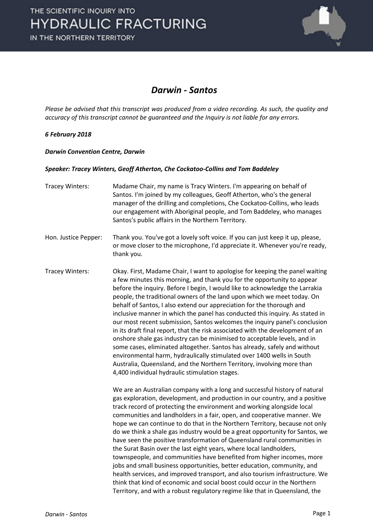

### *Darwin - Santos*

*Please be advised that this transcript was produced from a video recording. As such, the quality and accuracy of this transcript cannot be guaranteed and the Inquiry is not liable for any errors.*

### *6 February 2018*

*Darwin Convention Centre, Darwin* 

#### *Speaker: Tracey Winters, Geoff Atherton, Che Cockatoo-Collins and Tom Baddeley*

- Tracey Winters: Madame Chair, my name is Tracy Winters. I'm appearing on behalf of Santos. I'm joined by my colleagues, Geoff Atherton, who's the general manager of the drilling and completions, Che Cockatoo-Collins, who leads our engagement with Aboriginal people, and Tom Baddeley, who manages Santos's public affairs in the Northern Territory.
- Hon. Justice Pepper: Thank you. You've got a lovely soft voice. If you can just keep it up, please, or move closer to the microphone, I'd appreciate it. Whenever you're ready, thank you.
- Tracey Winters: Okay. First, Madame Chair, I want to apologise for keeping the panel waiting a few minutes this morning, and thank you for the opportunity to appear before the inquiry. Before I begin, I would like to acknowledge the Larrakia people, the traditional owners of the land upon which we meet today. On behalf of Santos, I also extend our appreciation for the thorough and inclusive manner in which the panel has conducted this inquiry. As stated in our most recent submission, Santos welcomes the inquiry panel's conclusion in its draft final report, that the risk associated with the development of an onshore shale gas industry can be minimised to acceptable levels, and in some cases, eliminated altogether. Santos has already, safely and without environmental harm, hydraulically stimulated over 1400 wells in South Australia, Queensland, and the Northern Territory, involving more than 4,400 individual hydraulic stimulation stages.

We are an Australian company with a long and successful history of natural gas exploration, development, and production in our country, and a positive track record of protecting the environment and working alongside local communities and landholders in a fair, open, and cooperative manner. We hope we can continue to do that in the Northern Territory, because not only do we think a shale gas industry would be a great opportunity for Santos, we have seen the positive transformation of Queensland rural communities in the Surat Basin over the last eight years, where local landholders, townspeople, and communities have benefited from higher incomes, more jobs and small business opportunities, better education, community, and health services, and improved transport, and also tourism infrastructure. We think that kind of economic and social boost could occur in the Northern Territory, and with a robust regulatory regime like that in Queensland, the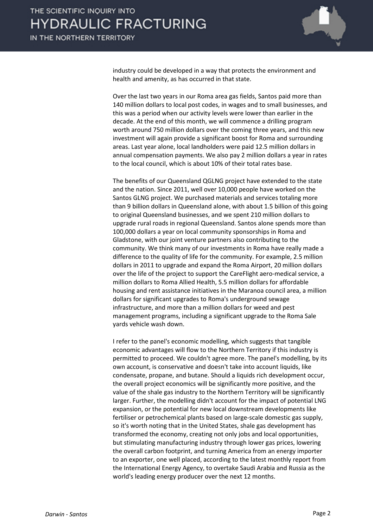

industry could be developed in a way that protects the environment and health and amenity, as has occurred in that state.

Over the last two years in our Roma area gas fields, Santos paid more than 140 million dollars to local post codes, in wages and to small businesses, and this was a period when our activity levels were lower than earlier in the decade. At the end of this month, we will commence a drilling program worth around 750 million dollars over the coming three years, and this new investment will again provide a significant boost for Roma and surrounding areas. Last year alone, local landholders were paid 12.5 million dollars in annual compensation payments. We also pay 2 million dollars a year in rates to the local council, which is about 10% of their total rates base.

The benefits of our Queensland QGLNG project have extended to the state and the nation. Since 2011, well over 10,000 people have worked on the Santos GLNG project. We purchased materials and services totaling more than 9 billion dollars in Queensland alone, with about 1.5 billion of this going to original Queensland businesses, and we spent 210 million dollars to upgrade rural roads in regional Queensland. Santos alone spends more than 100,000 dollars a year on local community sponsorships in Roma and Gladstone, with our joint venture partners also contributing to the community. We think many of our investments in Roma have really made a difference to the quality of life for the community. For example, 2.5 million dollars in 2011 to upgrade and expand the Roma Airport, 20 million dollars over the life of the project to support the CareFlight aero-medical service, a million dollars to Roma Allied Health, 5.5 million dollars for affordable housing and rent assistance initiatives in the Maranoa council area, a million dollars for significant upgrades to Roma's underground sewage infrastructure, and more than a million dollars for weed and pest management programs, including a significant upgrade to the Roma Sale yards vehicle wash down.

I refer to the panel's economic modelling, which suggests that tangible economic advantages will flow to the Northern Territory if this industry is permitted to proceed. We couldn't agree more. The panel's modelling, by its own account, is conservative and doesn't take into account liquids, like condensate, propane, and butane. Should a liquids rich development occur, the overall project economics will be significantly more positive, and the value of the shale gas industry to the Northern Territory will be significantly larger. Further, the modelling didn't account for the impact of potential LNG expansion, or the potential for new local downstream developments like fertiliser or petrochemical plants based on large-scale domestic gas supply, so it's worth noting that in the United States, shale gas development has transformed the economy, creating not only jobs and local opportunities, but stimulating manufacturing industry through lower gas prices, lowering the overall carbon footprint, and turning America from an energy importer to an exporter, one well placed, according to the latest monthly report from the International Energy Agency, to overtake Saudi Arabia and Russia as the world's leading energy producer over the next 12 months.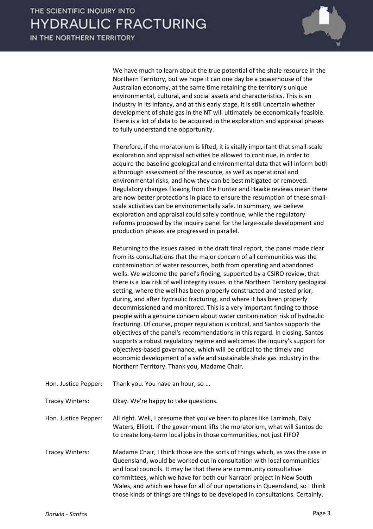We have much to learn about the true potential of the shale resource in the Northern Territory, but we hope it can one day be a powerhouse of the Australian economy, at the same time retaining the territory's unique environmental, cultural, and social assets and characteristics. This is an industry in its infancy, and at this early stage, it is still uncertain whether development of shale gas in the NT will ultimately be economically feasible. There is a lot of data to be acquired in the exploration and appraisal phases to fully understand the opportunity.

Therefore, if the moratorium is lifted, it is vitally important that small-scale exploration and appraisal activities be allowed to continue, in order to acquire the baseline geological and environmental data that will inform both a thorough assessment of the resource, as well as operational and environmental risks, and how they can be best mitigated or removed. Regulatory changes flowing from the Hunter and Hawke reviews mean there are now better protections in place to ensure the resumption of these smallscale activities can be environmentally safe. In summary, we believe exploration and appraisal could safely continue, while the regulatory reforms proposed by the inquiry panel for the large-scale development and production phases are progressed in parallel.

Returning to the issues raised in the draft final report, the panel made clear from its consultations that the major concern of all communities was the contamination of water resources, both from operating and abandoned wells. We welcome the panel's finding, supported by a CSIRO review, that there is a low risk of well integrity issues in the Northern Territory geological setting, where the well has been properly constructed and tested prior, during, and after hydraulic fracturing, and where it has been properly decommissioned and monitored. This is a very important finding to those people with a genuine concern about water contamination risk of hydraulic fracturing. Of course, proper regulation is critical, and Santos supports the objectives of the panel's recommendations in this regard. In closing, Santos supports a robust regulatory regime and welcomes the inquiry's support for objectives-based governance, which will be critical to the timely and economic development of a safe and sustainable shale gas industry in the Northern Territory. Thank you, Madame Chair.

Hon. Justice Pepper: Thank you. You have an hour, so ...

Tracey Winters: Okay. We're happy to take questions.

Hon. Justice Pepper: All right. Well, I presume that you've been to places like Larrimah, Daly Waters, Elliott. If the government lifts the moratorium, what will Santos do to create long-term local jobs in those communities, not just FIFO?

Tracey Winters: Madame Chair, I think those are the sorts of things which, as was the case in Queensland, would be worked out in consultation with local communities and local councils. It may be that there are community consultative committees, which we have for both our Narrabri project in New South Wales, and which we have for all of our operations in Queensland, so I think those kinds of things are things to be developed in consultations. Certainly,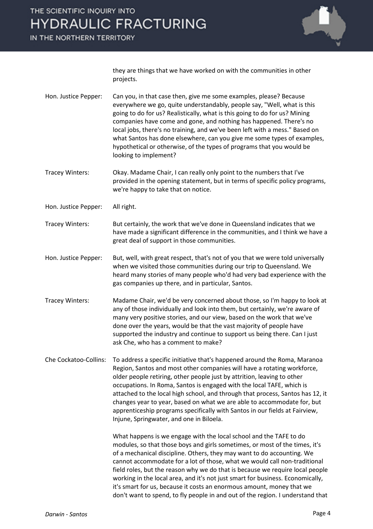IN THE NORTHERN TERRITORY



they are things that we have worked on with the communities in other projects.

- Hon. Justice Pepper: Can you, in that case then, give me some examples, please? Because everywhere we go, quite understandably, people say, "Well, what is this going to do for us? Realistically, what is this going to do for us? Mining companies have come and gone, and nothing has happened. There's no local jobs, there's no training, and we've been left with a mess." Based on what Santos has done elsewhere, can you give me some types of examples, hypothetical or otherwise, of the types of programs that you would be looking to implement?
- Tracey Winters: Okay. Madame Chair, I can really only point to the numbers that I've provided in the opening statement, but in terms of specific policy programs, we're happy to take that on notice.
- Hon. Justice Pepper: All right.
- Tracey Winters: But certainly, the work that we've done in Queensland indicates that we have made a significant difference in the communities, and I think we have a great deal of support in those communities.
- Hon. Justice Pepper: But, well, with great respect, that's not of you that we were told universally when we visited those communities during our trip to Queensland. We heard many stories of many people who'd had very bad experience with the gas companies up there, and in particular, Santos.
- Tracey Winters: Madame Chair, we'd be very concerned about those, so I'm happy to look at any of those individually and look into them, but certainly, we're aware of many very positive stories, and our view, based on the work that we've done over the years, would be that the vast majority of people have supported the industry and continue to support us being there. Can I just ask Che, who has a comment to make?
- Che Cockatoo-Collins: To address a specific initiative that's happened around the Roma, Maranoa Region, Santos and most other companies will have a rotating workforce, older people retiring, other people just by attrition, leaving to other occupations. In Roma, Santos is engaged with the local TAFE, which is attached to the local high school, and through that process, Santos has 12, it changes year to year, based on what we are able to accommodate for, but apprenticeship programs specifically with Santos in our fields at Fairview, Injune, Springwater, and one in Biloela.

What happens is we engage with the local school and the TAFE to do modules, so that those boys and girls sometimes, or most of the times, it's of a mechanical discipline. Others, they may want to do accounting. We cannot accommodate for a lot of those, what we would call non-traditional field roles, but the reason why we do that is because we require local people working in the local area, and it's not just smart for business. Economically, it's smart for us, because it costs an enormous amount, money that we don't want to spend, to fly people in and out of the region. I understand that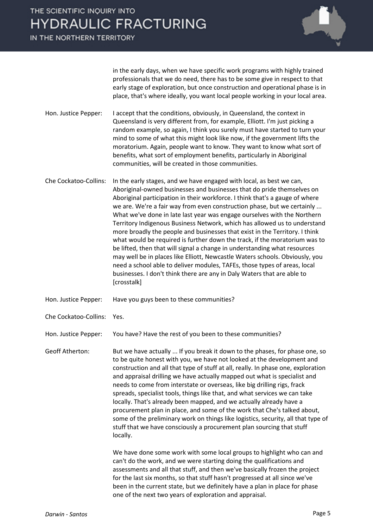IN THE NORTHERN TERRITORY



in the early days, when we have specific work programs with highly trained professionals that we do need, there has to be some give in respect to that early stage of exploration, but once construction and operational phase is in place, that's where ideally, you want local people working in your local area.

- Hon. Justice Pepper: I accept that the conditions, obviously, in Queensland, the context in Queensland is very different from, for example, Elliott. I'm just picking a random example, so again, I think you surely must have started to turn your mind to some of what this might look like now, if the government lifts the moratorium. Again, people want to know. They want to know what sort of benefits, what sort of employment benefits, particularly in Aboriginal communities, will be created in those communities.
- Che Cockatoo-Collins: In the early stages, and we have engaged with local, as best we can, Aboriginal-owned businesses and businesses that do pride themselves on Aboriginal participation in their workforce. I think that's a gauge of where we are. We're a fair way from even construction phase, but we certainly ... What we've done in late last year was engage ourselves with the Northern Territory Indigenous Business Network, which has allowed us to understand more broadly the people and businesses that exist in the Territory. I think what would be required is further down the track, if the moratorium was to be lifted, then that will signal a change in understanding what resources may well be in places like Elliott, Newcastle Waters schools. Obviously, you need a school able to deliver modules, TAFEs, those types of areas, local businesses. I don't think there are any in Daly Waters that are able to [crosstalk]
- Hon. Justice Pepper: Have you guys been to these communities?
- Che Cockatoo-Collins: Yes.

Hon. Justice Pepper: You have? Have the rest of you been to these communities?

Geoff Atherton: But we have actually ... If you break it down to the phases, for phase one, so to be quite honest with you, we have not looked at the development and construction and all that type of stuff at all, really. In phase one, exploration and appraisal drilling we have actually mapped out what is specialist and needs to come from interstate or overseas, like big drilling rigs, frack spreads, specialist tools, things like that, and what services we can take locally. That's already been mapped, and we actually already have a procurement plan in place, and some of the work that Che's talked about, some of the preliminary work on things like logistics, security, all that type of stuff that we have consciously a procurement plan sourcing that stuff locally.

> We have done some work with some local groups to highlight who can and can't do the work, and we were starting doing the qualifications and assessments and all that stuff, and then we've basically frozen the project for the last six months, so that stuff hasn't progressed at all since we've been in the current state, but we definitely have a plan in place for phase one of the next two years of exploration and appraisal.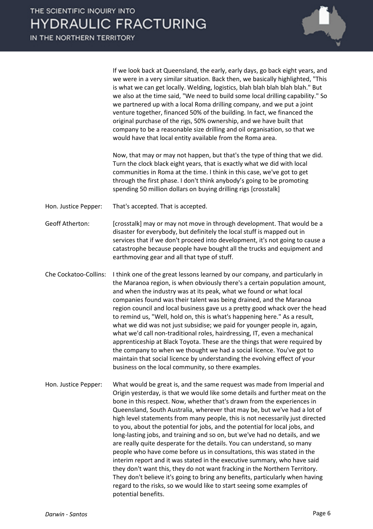If we look back at Queensland, the early, early days, go back eight years, and we were in a very similar situation. Back then, we basically highlighted, "This is what we can get locally. Welding, logistics, blah blah blah blah blah." But we also at the time said, "We need to build some local drilling capability." So we partnered up with a local Roma drilling company, and we put a joint venture together, financed 50% of the building. In fact, we financed the original purchase of the rigs, 50% ownership, and we have built that company to be a reasonable size drilling and oil organisation, so that we would have that local entity available from the Roma area.

Now, that may or may not happen, but that's the type of thing that we did. Turn the clock black eight years, that is exactly what we did with local communities in Roma at the time. I think in this case, we've got to get through the first phase. I don't think anybody's going to be promoting spending 50 million dollars on buying drilling rigs [crosstalk]

Hon. Justice Pepper: That's accepted. That is accepted.

Geoff Atherton: [crosstalk] may or may not move in through development. That would be a disaster for everybody, but definitely the local stuff is mapped out in services that if we don't proceed into development, it's not going to cause a catastrophe because people have bought all the trucks and equipment and earthmoving gear and all that type of stuff.

- Che Cockatoo-Collins: I think one of the great lessons learned by our company, and particularly in the Maranoa region, is when obviously there's a certain population amount, and when the industry was at its peak, what we found or what local companies found was their talent was being drained, and the Maranoa region council and local business gave us a pretty good whack over the head to remind us, "Well, hold on, this is what's happening here." As a result, what we did was not just subsidise; we paid for younger people in, again, what we'd call non-traditional roles, hairdressing, IT, even a mechanical apprenticeship at Black Toyota. These are the things that were required by the company to when we thought we had a social licence. You've got to maintain that social licence by understanding the evolving effect of your business on the local community, so there examples.
- Hon. Justice Pepper: What would be great is, and the same request was made from Imperial and Origin yesterday, is that we would like some details and further meat on the bone in this respect. Now, whether that's drawn from the experiences in Queensland, South Australia, wherever that may be, but we've had a lot of high level statements from many people, this is not necessarily just directed to you, about the potential for jobs, and the potential for local jobs, and long-lasting jobs, and training and so on, but we've had no details, and we are really quite desperate for the details. You can understand, so many people who have come before us in consultations, this was stated in the interim report and it was stated in the executive summary, who have said they don't want this, they do not want fracking in the Northern Territory. They don't believe it's going to bring any benefits, particularly when having regard to the risks, so we would like to start seeing some examples of potential benefits.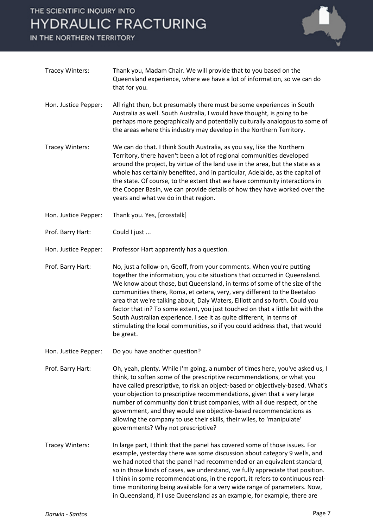IN THE NORTHERN TERRITORY



| Tracey Winters:      | Thank you, Madam Chair. We will provide that to you based on the<br>Queensland experience, where we have a lot of information, so we can do<br>that for you.                                                                                                                                                                                                                                                                                                                                                                                                                                                                                     |
|----------------------|--------------------------------------------------------------------------------------------------------------------------------------------------------------------------------------------------------------------------------------------------------------------------------------------------------------------------------------------------------------------------------------------------------------------------------------------------------------------------------------------------------------------------------------------------------------------------------------------------------------------------------------------------|
| Hon. Justice Pepper: | All right then, but presumably there must be some experiences in South<br>Australia as well. South Australia, I would have thought, is going to be<br>perhaps more geographically and potentially culturally analogous to some of<br>the areas where this industry may develop in the Northern Territory.                                                                                                                                                                                                                                                                                                                                        |
| Tracey Winters:      | We can do that. I think South Australia, as you say, like the Northern<br>Territory, there haven't been a lot of regional communities developed<br>around the project, by virtue of the land use in the area, but the state as a<br>whole has certainly benefited, and in particular, Adelaide, as the capital of<br>the state. Of course, to the extent that we have community interactions in<br>the Cooper Basin, we can provide details of how they have worked over the<br>years and what we do in that region.                                                                                                                             |
| Hon. Justice Pepper: | Thank you. Yes, [crosstalk]                                                                                                                                                                                                                                                                                                                                                                                                                                                                                                                                                                                                                      |
| Prof. Barry Hart:    | Could I just                                                                                                                                                                                                                                                                                                                                                                                                                                                                                                                                                                                                                                     |
| Hon. Justice Pepper: | Professor Hart apparently has a question.                                                                                                                                                                                                                                                                                                                                                                                                                                                                                                                                                                                                        |
| Prof. Barry Hart:    | No, just a follow-on, Geoff, from your comments. When you're putting<br>together the information, you cite situations that occurred in Queensland.<br>We know about those, but Queensland, in terms of some of the size of the<br>communities there, Roma, et cetera, very, very different to the Beetaloo<br>area that we're talking about, Daly Waters, Elliott and so forth. Could you<br>factor that in? To some extent, you just touched on that a little bit with the<br>South Australian experience. I see it as quite different, in terms of<br>stimulating the local communities, so if you could address that, that would<br>be great. |
| Hon. Justice Pepper: | Do you have another question?                                                                                                                                                                                                                                                                                                                                                                                                                                                                                                                                                                                                                    |
| Prof. Barry Hart:    | Oh, yeah, plenty. While I'm going, a number of times here, you've asked us, I<br>think, to soften some of the prescriptive recommendations, or what you<br>have called prescriptive, to risk an object-based or objectively-based. What's<br>your objection to prescriptive recommendations, given that a very large<br>number of community don't trust companies, with all due respect, or the<br>government, and they would see objective-based recommendations as<br>allowing the company to use their skills, their wiles, to 'manipulate'<br>governments? Why not prescriptive?                                                             |
| Tracey Winters:      | In large part, I think that the panel has covered some of those issues. For<br>example, yesterday there was some discussion about category 9 wells, and<br>we had noted that the panel had recommended or an equivalent standard,<br>so in those kinds of cases, we understand, we fully appreciate that position.<br>I think in some recommendations, in the report, it refers to continuous real-<br>time monitoring being available for a very wide range of parameters. Now,<br>in Queensland, if I use Queensland as an example, for example, there are                                                                                     |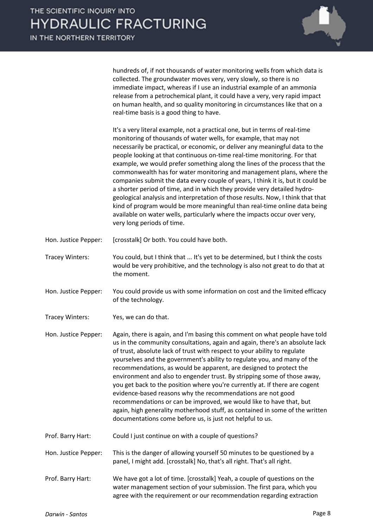

hundreds of, if not thousands of water monitoring wells from which data is collected. The groundwater moves very, very slowly, so there is no immediate impact, whereas if I use an industrial example of an ammonia release from a petrochemical plant, it could have a very, very rapid impact on human health, and so quality monitoring in circumstances like that on a real-time basis is a good thing to have.

It's a very literal example, not a practical one, but in terms of real-time monitoring of thousands of water wells, for example, that may not necessarily be practical, or economic, or deliver any meaningful data to the people looking at that continuous on-time real-time monitoring. For that example, we would prefer something along the lines of the process that the commonwealth has for water monitoring and management plans, where the companies submit the data every couple of years, I think it is, but it could be a shorter period of time, and in which they provide very detailed hydrogeological analysis and interpretation of those results. Now, I think that that kind of program would be more meaningful than real-time online data being available on water wells, particularly where the impacts occur over very, very long periods of time.

- Hon. Justice Pepper: [crosstalk] Or both. You could have both.
- Tracey Winters: You could, but I think that ... It's yet to be determined, but I think the costs would be very prohibitive, and the technology is also not great to do that at the moment.
- Hon. Justice Pepper: You could provide us with some information on cost and the limited efficacy of the technology.

Tracey Winters: Yes, we can do that.

Hon. Justice Pepper: Again, there is again, and I'm basing this comment on what people have told us in the community consultations, again and again, there's an absolute lack of trust, absolute lack of trust with respect to your ability to regulate yourselves and the government's ability to regulate you, and many of the recommendations, as would be apparent, are designed to protect the environment and also to engender trust. By stripping some of those away, you get back to the position where you're currently at. If there are cogent evidence-based reasons why the recommendations are not good recommendations or can be improved, we would like to have that, but again, high generality motherhood stuff, as contained in some of the written documentations come before us, is just not helpful to us.

Prof. Barry Hart: Could I just continue on with a couple of questions?

Hon. Justice Pepper: This is the danger of allowing yourself 50 minutes to be questioned by a panel, I might add. [crosstalk] No, that's all right. That's all right.

Prof. Barry Hart: We have got a lot of time. [crosstalk] Yeah, a couple of questions on the water management section of your submission. The first para, which you agree with the requirement or our recommendation regarding extraction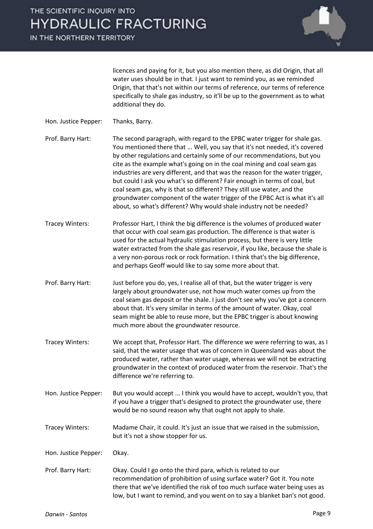

licences and paying for it, but you also mention there, as did Origin, that all water uses should be in that. I just want to remind you, as we reminded Origin, that that's not within our terms of reference, our terms of reference specifically to shale gas industry, so it'll be up to the government as to what additional they do.

- Hon. Justice Pepper: Thanks, Barry.
- Prof. Barry Hart: The second paragraph, with regard to the EPBC water trigger for shale gas. You mentioned there that ... Well, you say that it's not needed, it's covered by other regulations and certainly some of our recommendations, but you cite as the example what's going on in the coal mining and coal seam gas industries are very different, and that was the reason for the water trigger, but could I ask you what's so different? Fair enough in terms of coal, but coal seam gas, why is that so different? They still use water, and the groundwater component of the water trigger of the EPBC Act is what it's all about, so what's different? Why would shale industry not be needed?
- Tracey Winters: Professor Hart, I think the big difference is the volumes of produced water that occur with coal seam gas production. The difference is that water is used for the actual hydraulic stimulation process, but there is very little water extracted from the shale gas reservoir, if you like, because the shale is a very non-porous rock or rock formation. I think that's the big difference, and perhaps Geoff would like to say some more about that.
- Prof. Barry Hart: Just before you do, yes, I realise all of that, but the water trigger is very largely about groundwater use, not how much water comes up from the coal seam gas deposit or the shale. I just don't see why you've got a concern about that. It's very similar in terms of the amount of water. Okay, coal seam might be able to reuse more, but the EPBC trigger is about knowing much more about the groundwater resource.
- Tracey Winters: We accept that, Professor Hart. The difference we were referring to was, as I said, that the water usage that was of concern in Queensland was about the produced water, rather than water usage, whereas we will not be extracting groundwater in the context of produced water from the reservoir. That's the difference we're referring to.
- Hon. Justice Pepper: But you would accept ... I think you would have to accept, wouldn't you, that if you have a trigger that's designed to protect the groundwater use, there would be no sound reason why that ought not apply to shale.
- Tracey Winters: Madame Chair, it could. It's just an issue that we raised in the submission, but it's not a show stopper for us.

Hon. Justice Pepper: Okay.

Prof. Barry Hart: Okay. Could I go onto the third para, which is related to our recommendation of prohibition of using surface water? Got it. You note there that we've identified the risk of too much surface water being uses as low, but I want to remind, and you went on to say a blanket ban's not good.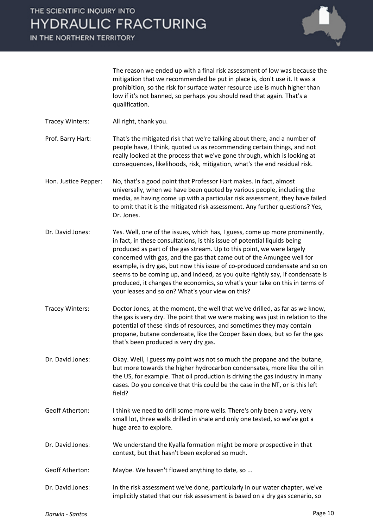

The reason we ended up with a final risk assessment of low was because the mitigation that we recommended be put in place is, don't use it. It was a prohibition, so the risk for surface water resource use is much higher than low if it's not banned, so perhaps you should read that again. That's a qualification.

- Tracey Winters: All right, thank you.
- Prof. Barry Hart: That's the mitigated risk that we're talking about there, and a number of people have, I think, quoted us as recommending certain things, and not really looked at the process that we've gone through, which is looking at consequences, likelihoods, risk, mitigation, what's the end residual risk.
- Hon. Justice Pepper: No, that's a good point that Professor Hart makes. In fact, almost universally, when we have been quoted by various people, including the media, as having come up with a particular risk assessment, they have failed to omit that it is the mitigated risk assessment. Any further questions? Yes, Dr. Jones.
- Dr. David Jones: Yes. Well, one of the issues, which has, I guess, come up more prominently, in fact, in these consultations, is this issue of potential liquids being produced as part of the gas stream. Up to this point, we were largely concerned with gas, and the gas that came out of the Amungee well for example, is dry gas, but now this issue of co-produced condensate and so on seems to be coming up, and indeed, as you quite rightly say, if condensate is produced, it changes the economics, so what's your take on this in terms of your leases and so on? What's your view on this?
- Tracey Winters: Doctor Jones, at the moment, the well that we've drilled, as far as we know, the gas is very dry. The point that we were making was just in relation to the potential of these kinds of resources, and sometimes they may contain propane, butane condensate, like the Cooper Basin does, but so far the gas that's been produced is very dry gas.
- Dr. David Jones: Okay. Well, I guess my point was not so much the propane and the butane, but more towards the higher hydrocarbon condensates, more like the oil in the US, for example. That oil production is driving the gas industry in many cases. Do you conceive that this could be the case in the NT, or is this left field?
- Geoff Atherton: I think we need to drill some more wells. There's only been a very, very small lot, three wells drilled in shale and only one tested, so we've got a huge area to explore.
- Dr. David Jones: We understand the Kyalla formation might be more prospective in that context, but that hasn't been explored so much.
- Geoff Atherton: Maybe. We haven't flowed anything to date, so ...
- Dr. David Jones: In the risk assessment we've done, particularly in our water chapter, we've implicitly stated that our risk assessment is based on a dry gas scenario, so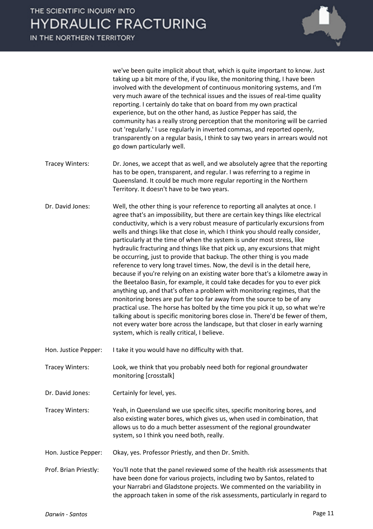

we've been quite implicit about that, which is quite important to know. Just taking up a bit more of the, if you like, the monitoring thing, I have been involved with the development of continuous monitoring systems, and I'm very much aware of the technical issues and the issues of real-time quality reporting. I certainly do take that on board from my own practical experience, but on the other hand, as Justice Pepper has said, the community has a really strong perception that the monitoring will be carried out 'regularly.' I use regularly in inverted commas, and reported openly, transparently on a regular basis, I think to say two years in arrears would not go down particularly well.

- Tracey Winters: Dr. Jones, we accept that as well, and we absolutely agree that the reporting has to be open, transparent, and regular. I was referring to a regime in Queensland. It could be much more regular reporting in the Northern Territory. It doesn't have to be two years.
- Dr. David Jones: Well, the other thing is your reference to reporting all analytes at once. I agree that's an impossibility, but there are certain key things like electrical conductivity, which is a very robust measure of particularly excursions from wells and things like that close in, which I think you should really consider, particularly at the time of when the system is under most stress, like hydraulic fracturing and things like that pick up, any excursions that might be occurring, just to provide that backup. The other thing is you made reference to very long travel times. Now, the devil is in the detail here, because if you're relying on an existing water bore that's a kilometre away in the Beetaloo Basin, for example, it could take decades for you to ever pick anything up, and that's often a problem with monitoring regimes, that the monitoring bores are put far too far away from the source to be of any practical use. The horse has bolted by the time you pick it up, so what we're talking about is specific monitoring bores close in. There'd be fewer of them, not every water bore across the landscape, but that closer in early warning system, which is really critical, I believe.
- Hon. Justice Pepper: I take it you would have no difficulty with that.
- Tracey Winters: Look, we think that you probably need both for regional groundwater monitoring [crosstalk]
- Dr. David Jones: Certainly for level, yes.
- Tracey Winters: Yeah, in Queensland we use specific sites, specific monitoring bores, and also existing water bores, which gives us, when used in combination, that allows us to do a much better assessment of the regional groundwater system, so I think you need both, really.
- Hon. Justice Pepper: Okay, yes. Professor Priestly, and then Dr. Smith.
- Prof. Brian Priestly: You'll note that the panel reviewed some of the health risk assessments that have been done for various projects, including two by Santos, related to your Narrabri and Gladstone projects. We commented on the variability in the approach taken in some of the risk assessments, particularly in regard to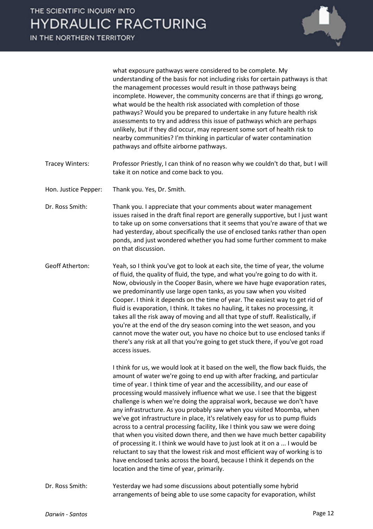

what exposure pathways were considered to be complete. My understanding of the basis for not including risks for certain pathways is that the management processes would result in those pathways being incomplete. However, the community concerns are that if things go wrong, what would be the health risk associated with completion of those pathways? Would you be prepared to undertake in any future health risk assessments to try and address this issue of pathways which are perhaps unlikely, but if they did occur, may represent some sort of health risk to nearby communities? I'm thinking in particular of water contamination pathways and offsite airborne pathways.

Tracey Winters: Professor Priestly, I can think of no reason why we couldn't do that, but I will take it on notice and come back to you.

Hon. Justice Pepper: Thank you. Yes, Dr. Smith.

- Dr. Ross Smith: Thank you. I appreciate that your comments about water management issues raised in the draft final report are generally supportive, but I just want to take up on some conversations that it seems that you're aware of that we had yesterday, about specifically the use of enclosed tanks rather than open ponds, and just wondered whether you had some further comment to make on that discussion.
- Geoff Atherton: Yeah, so I think you've got to look at each site, the time of year, the volume of fluid, the quality of fluid, the type, and what you're going to do with it. Now, obviously in the Cooper Basin, where we have huge evaporation rates, we predominantly use large open tanks, as you saw when you visited Cooper. I think it depends on the time of year. The easiest way to get rid of fluid is evaporation, I think. It takes no hauling, it takes no processing, it takes all the risk away of moving and all that type of stuff. Realistically, if you're at the end of the dry season coming into the wet season, and you cannot move the water out, you have no choice but to use enclosed tanks if there's any risk at all that you're going to get stuck there, if you've got road access issues.

I think for us, we would look at it based on the well, the flow back fluids, the amount of water we're going to end up with after fracking, and particular time of year. I think time of year and the accessibility, and our ease of processing would massively influence what we use. I see that the biggest challenge is when we're doing the appraisal work, because we don't have any infrastructure. As you probably saw when you visited Moomba, when we've got infrastructure in place, it's relatively easy for us to pump fluids across to a central processing facility, like I think you saw we were doing that when you visited down there, and then we have much better capability of processing it. I think we would have to just look at it on a ... I would be reluctant to say that the lowest risk and most efficient way of working is to have enclosed tanks across the board, because I think it depends on the location and the time of year, primarily.

Dr. Ross Smith: Yesterday we had some discussions about potentially some hybrid arrangements of being able to use some capacity for evaporation, whilst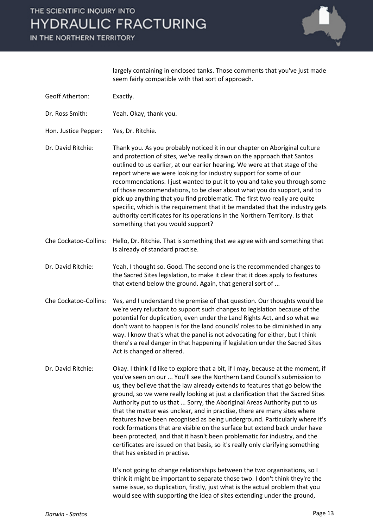IN THE NORTHERN TERRITORY



largely containing in enclosed tanks. Those comments that you've just made seem fairly compatible with that sort of approach.

| <b>Geoff Atherton:</b> | Exactly.                                                                                                                                                                                                                                                                                                                                                                                                                                                                                                                                                                                                                                                                                                                                                                                                                                                                                                                             |
|------------------------|--------------------------------------------------------------------------------------------------------------------------------------------------------------------------------------------------------------------------------------------------------------------------------------------------------------------------------------------------------------------------------------------------------------------------------------------------------------------------------------------------------------------------------------------------------------------------------------------------------------------------------------------------------------------------------------------------------------------------------------------------------------------------------------------------------------------------------------------------------------------------------------------------------------------------------------|
| Dr. Ross Smith:        | Yeah. Okay, thank you.                                                                                                                                                                                                                                                                                                                                                                                                                                                                                                                                                                                                                                                                                                                                                                                                                                                                                                               |
| Hon. Justice Pepper:   | Yes, Dr. Ritchie.                                                                                                                                                                                                                                                                                                                                                                                                                                                                                                                                                                                                                                                                                                                                                                                                                                                                                                                    |
| Dr. David Ritchie:     | Thank you. As you probably noticed it in our chapter on Aboriginal culture<br>and protection of sites, we've really drawn on the approach that Santos<br>outlined to us earlier, at our earlier hearing. We were at that stage of the<br>report where we were looking for industry support for some of our<br>recommendations. I just wanted to put it to you and take you through some<br>of those recommendations, to be clear about what you do support, and to<br>pick up anything that you find problematic. The first two really are quite<br>specific, which is the requirement that it be mandated that the industry gets<br>authority certificates for its operations in the Northern Territory. Is that<br>something that you would support?                                                                                                                                                                               |
| Che Cockatoo-Collins:  | Hello, Dr. Ritchie. That is something that we agree with and something that<br>is already of standard practise.                                                                                                                                                                                                                                                                                                                                                                                                                                                                                                                                                                                                                                                                                                                                                                                                                      |
| Dr. David Ritchie:     | Yeah, I thought so. Good. The second one is the recommended changes to<br>the Sacred Sites legislation, to make it clear that it does apply to features<br>that extend below the ground. Again, that general sort of                                                                                                                                                                                                                                                                                                                                                                                                                                                                                                                                                                                                                                                                                                                 |
| Che Cockatoo-Collins:  | Yes, and I understand the premise of that question. Our thoughts would be<br>we're very reluctant to support such changes to legislation because of the<br>potential for duplication, even under the Land Rights Act, and so what we<br>don't want to happen is for the land councils' roles to be diminished in any<br>way. I know that's what the panel is not advocating for either, but I think<br>there's a real danger in that happening if legislation under the Sacred Sites<br>Act is changed or altered.                                                                                                                                                                                                                                                                                                                                                                                                                   |
| Dr. David Ritchie:     | Okay. I think I'd like to explore that a bit, if I may, because at the moment, if<br>you've seen on our  You'll see the Northern Land Council's submission to<br>us, they believe that the law already extends to features that go below the<br>ground, so we were really looking at just a clarification that the Sacred Sites<br>Authority put to us that  Sorry, the Aboriginal Areas Authority put to us<br>that the matter was unclear, and in practise, there are many sites where<br>features have been recognised as being underground. Particularly where it's<br>rock formations that are visible on the surface but extend back under have<br>been protected, and that it hasn't been problematic for industry, and the<br>certificates are issued on that basis, so it's really only clarifying something<br>that has existed in practise.<br>It's not going to change relationships between the two organisations, so I |
|                        | think it might be important to separate those two. I don't think they're the<br>same issue, so duplication, firstly, just what is the actual problem that you<br>would see with supporting the idea of sites extending under the ground,                                                                                                                                                                                                                                                                                                                                                                                                                                                                                                                                                                                                                                                                                             |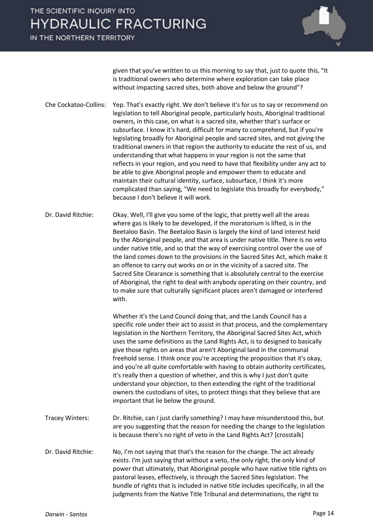IN THE NORTHERN TERRITORY



given that you've written to us this morning to say that, just to quote this, "It is traditional owners who determine where exploration can take place without impacting sacred sites, both above and below the ground"?

- Che Cockatoo-Collins: Yep. That's exactly right. We don't believe it's for us to say or recommend on legislation to tell Aboriginal people, particularly hosts, Aboriginal traditional owners, in this case, on what is a sacred site, whether that's surface or subsurface. I know it's hard, difficult for many to comprehend, but if you're legislating broadly for Aboriginal people and sacred sites, and not giving the traditional owners in that region the authority to educate the rest of us, and understanding that what happens in your region is not the same that reflects in your region, and you need to have that flexibility under any act to be able to give Aboriginal people and empower them to educate and maintain their cultural identity, surface, subsurface, I think it's more complicated than saying, "We need to legislate this broadly for everybody," because I don't believe it will work.
- Dr. David Ritchie: Okay. Well, I'll give you some of the logic, that pretty well all the areas where gas is likely to be developed, if the moratorium is lifted, is in the Beetaloo Basin. The Beetaloo Basin is largely the kind of land interest held by the Aboriginal people, and that area is under native title. There is no veto under native title, and so that the way of exercising control over the use of the land comes down to the provisions in the Sacred Sites Act, which make it an offence to carry out works on or in the vicinity of a sacred site. The Sacred Site Clearance is something that is absolutely central to the exercise of Aboriginal, the right to deal with anybody operating on their country, and to make sure that culturally significant places aren't damaged or interfered with.

Whether it's the Land Council doing that, and the Lands Council has a specific role under their act to assist in that process, and the complementary legislation in the Northern Territory, the Aboriginal Sacred Sites Act, which uses the same definitions as the Land Rights Act, is to designed to basically give those rights on areas that aren't Aboriginal land in the communal freehold sense. I think once you're accepting the proposition that it's okay, and you're all quite comfortable with having to obtain authority certificates, it's really then a question of whether, and this is why I just don't quite understand your objection, to then extending the right of the traditional owners the custodians of sites, to protect things that they believe that are important that lie below the ground.

- Tracey Winters: Dr. Ritchie, can I just clarify something? I may have misunderstood this, but are you suggesting that the reason for needing the change to the legislation is because there's no right of veto in the Land Rights Act? [crosstalk]
- Dr. David Ritchie: No, I'm not saying that that's the reason for the change. The act already exists. I'm just saying that without a veto, the only right, the only kind of power that ultimately, that Aboriginal people who have native title rights on pastoral leases, effectively, is through the Sacred Sites legislation. The bundle of rights that is included in native title includes specifically, in all the judgments from the Native Title Tribunal and determinations, the right to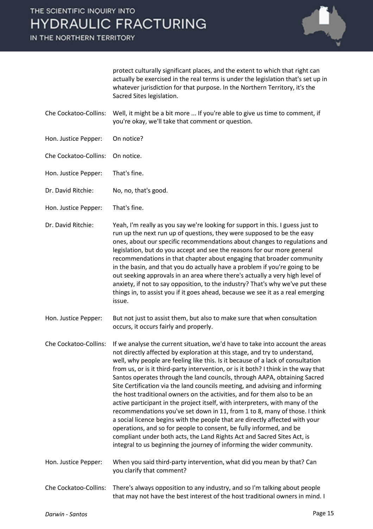IN THE NORTHERN TERRITORY



protect culturally significant places, and the extent to which that right can actually be exercised in the real terms is under the legislation that's set up in whatever jurisdiction for that purpose. In the Northern Territory, it's the Sacred Sites legislation.

- Che Cockatoo-Collins: Well, it might be a bit more ... If you're able to give us time to comment, if you're okay, we'll take that comment or question.
- Hon. Justice Pepper: On notice?
- Che Cockatoo-Collins: On notice.
- Hon. Justice Pepper: That's fine.
- Dr. David Ritchie: No, no, that's good.
- Hon. Justice Pepper: That's fine.

Dr. David Ritchie: Yeah, I'm really as you say we're looking for support in this. I guess just to run up the next run up of questions, they were supposed to be the easy ones, about our specific recommendations about changes to regulations and legislation, but do you accept and see the reasons for our more general recommendations in that chapter about engaging that broader community in the basin, and that you do actually have a problem if you're going to be out seeking approvals in an area where there's actually a very high level of anxiety, if not to say opposition, to the industry? That's why we've put these things in, to assist you if it goes ahead, because we see it as a real emerging issue.

Hon. Justice Pepper: But not just to assist them, but also to make sure that when consultation occurs, it occurs fairly and properly.

Che Cockatoo-Collins: If we analyse the current situation, we'd have to take into account the areas not directly affected by exploration at this stage, and try to understand, well, why people are feeling like this. Is it because of a lack of consultation from us, or is it third-party intervention, or is it both? I think in the way that Santos operates through the land councils, through AAPA, obtaining Sacred Site Certification via the land councils meeting, and advising and informing the host traditional owners on the activities, and for them also to be an active participant in the project itself, with interpreters, with many of the recommendations you've set down in 11, from 1 to 8, many of those. I think a social licence begins with the people that are directly affected with your operations, and so for people to consent, be fully informed, and be compliant under both acts, the Land Rights Act and Sacred Sites Act, is integral to us beginning the journey of informing the wider community.

Hon. Justice Pepper: When you said third-party intervention, what did you mean by that? Can you clarify that comment?

Che Cockatoo-Collins: There's always opposition to any industry, and so I'm talking about people that may not have the best interest of the host traditional owners in mind. I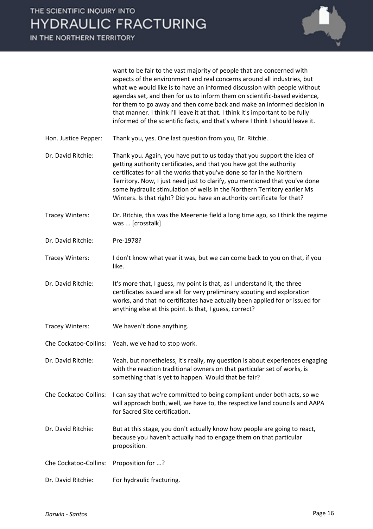

want to be fair to the vast majority of people that are concerned with aspects of the environment and real concerns around all industries, but what we would like is to have an informed discussion with people without agendas set, and then for us to inform them on scientific-based evidence, for them to go away and then come back and make an informed decision in that manner. I think I'll leave it at that. I think it's important to be fully informed of the scientific facts, and that's where I think I should leave it.

Hon. Justice Pepper: Thank you, yes. One last question from you, Dr. Ritchie.

Dr. David Ritchie: Thank you. Again, you have put to us today that you support the idea of getting authority certificates, and that you have got the authority certificates for all the works that you've done so far in the Northern Territory. Now, I just need just to clarify, you mentioned that you've done some hydraulic stimulation of wells in the Northern Territory earlier Ms Winters. Is that right? Did you have an authority certificate for that?

- Tracey Winters: Dr. Ritchie, this was the Meerenie field a long time ago, so I think the regime was ... [crosstalk]
- Dr. David Ritchie: Pre-1978?
- Tracey Winters: I don't know what year it was, but we can come back to you on that, if you like.

Dr. David Ritchie: It's more that, I guess, my point is that, as I understand it, the three certificates issued are all for very preliminary scouting and exploration works, and that no certificates have actually been applied for or issued for anything else at this point. Is that, I guess, correct?

- Tracey Winters: We haven't done anything.
- Che Cockatoo-Collins: Yeah, we've had to stop work.

Dr. David Ritchie: Yeah, but nonetheless, it's really, my question is about experiences engaging with the reaction traditional owners on that particular set of works, is something that is yet to happen. Would that be fair?

- Che Cockatoo-Collins: I can say that we're committed to being compliant under both acts, so we will approach both, well, we have to, the respective land councils and AAPA for Sacred Site certification.
- Dr. David Ritchie: But at this stage, you don't actually know how people are going to react, because you haven't actually had to engage them on that particular proposition.
- Che Cockatoo-Collins: Proposition for ...?
- Dr. David Ritchie: For hydraulic fracturing.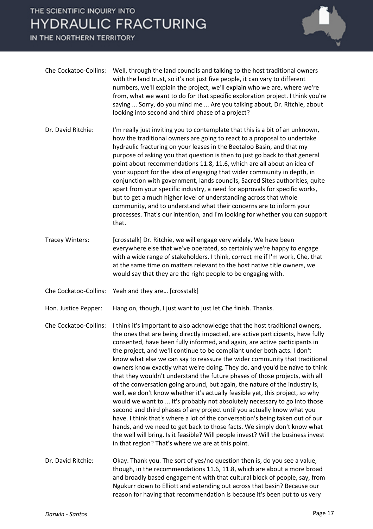IN THE NORTHERN TERRITORY



| Che Cockatoo-Collins: | Well, through the land councils and talking to the host traditional owners<br>with the land trust, so it's not just five people, it can vary to different<br>numbers, we'll explain the project, we'll explain who we are, where we're<br>from, what we want to do for that specific exploration project. I think you're<br>saying  Sorry, do you mind me  Are you talking about, Dr. Ritchie, about<br>looking into second and third phase of a project?                                                                                                                                                                                                                                                                                                                                                                                                                   |
|-----------------------|-----------------------------------------------------------------------------------------------------------------------------------------------------------------------------------------------------------------------------------------------------------------------------------------------------------------------------------------------------------------------------------------------------------------------------------------------------------------------------------------------------------------------------------------------------------------------------------------------------------------------------------------------------------------------------------------------------------------------------------------------------------------------------------------------------------------------------------------------------------------------------|
| Dr. David Ritchie:    | I'm really just inviting you to contemplate that this is a bit of an unknown,<br>how the traditional owners are going to react to a proposal to undertake<br>hydraulic fracturing on your leases in the Beetaloo Basin, and that my<br>purpose of asking you that question is then to just go back to that general<br>point about recommendations 11.8, 11.6, which are all about an idea of<br>your support for the idea of engaging that wider community in depth, in<br>conjunction with government, lands councils, Sacred Sites authorities, quite<br>apart from your specific industry, a need for approvals for specific works,<br>but to get a much higher level of understanding across that whole<br>community, and to understand what their concerns are to inform your<br>processes. That's our intention, and I'm looking for whether you can support<br>that. |
| Tracey Winters:       | [crosstalk] Dr. Ritchie, we will engage very widely. We have been<br>everywhere else that we've operated, so certainly we're happy to engage<br>with a wide range of stakeholders. I think, correct me if I'm work, Che, that                                                                                                                                                                                                                                                                                                                                                                                                                                                                                                                                                                                                                                               |

at the same time on matters relevant to the host native title owners, we

would say that they are the right people to be engaging with.

Che Cockatoo-Collins: Yeah and they are… [crosstalk]

Hon. Justice Pepper: Hang on, though, I just want to just let Che finish. Thanks.

Che Cockatoo-Collins: I think it's important to also acknowledge that the host traditional owners, the ones that are being directly impacted, are active participants, have fully consented, have been fully informed, and again, are active participants in the project, and we'll continue to be compliant under both acts. I don't know what else we can say to reassure the wider community that traditional owners know exactly what we're doing. They do, and you'd be naïve to think that they wouldn't understand the future phases of those projects, with all of the conversation going around, but again, the nature of the industry is, well, we don't know whether it's actually feasible yet, this project, so why would we want to ... It's probably not absolutely necessary to go into those second and third phases of any project until you actually know what you have. I think that's where a lot of the conversation's being taken out of our hands, and we need to get back to those facts. We simply don't know what the well will bring. Is it feasible? Will people invest? Will the business invest in that region? That's where we are at this point.

Dr. David Ritchie: Okay. Thank you. The sort of yes/no question then is, do you see a value, though, in the recommendations 11.6, 11.8, which are about a more broad and broadly based engagement with that cultural block of people, say, from Ngukurr down to Elliott and extending out across that basin? Because our reason for having that recommendation is because it's been put to us very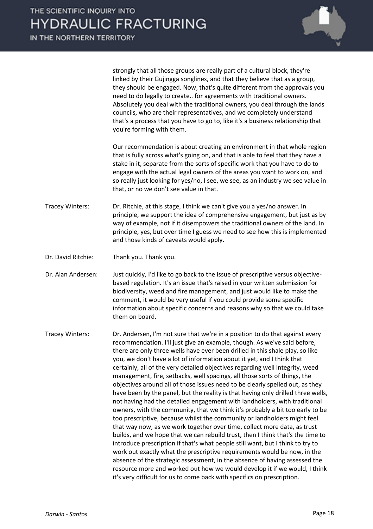

strongly that all those groups are really part of a cultural block, they're linked by their Gujingga songlines, and that they believe that as a group, they should be engaged. Now, that's quite different from the approvals you need to do legally to create.. for agreements with traditional owners. Absolutely you deal with the traditional owners, you deal through the lands councils, who are their representatives, and we completely understand that's a process that you have to go to, like it's a business relationship that you're forming with them.

Our recommendation is about creating an environment in that whole region that is fully across what's going on, and that is able to feel that they have a stake in it, separate from the sorts of specific work that you have to do to engage with the actual legal owners of the areas you want to work on, and so really just looking for yes/no, I see, we see, as an industry we see value in that, or no we don't see value in that.

- Tracey Winters: Dr. Ritchie, at this stage, I think we can't give you a yes/no answer. In principle, we support the idea of comprehensive engagement, but just as by way of example, not if it disempowers the traditional owners of the land. In principle, yes, but over time I guess we need to see how this is implemented and those kinds of caveats would apply.
- Dr. David Ritchie: Thank you. Thank you.

Dr. Alan Andersen: Just quickly, I'd like to go back to the issue of prescriptive versus objectivebased regulation. It's an issue that's raised in your written submission for biodiversity, weed and fire management, and just would like to make the comment, it would be very useful if you could provide some specific information about specific concerns and reasons why so that we could take them on board.

Tracey Winters: Dr. Andersen, I'm not sure that we're in a position to do that against every recommendation. I'll just give an example, though. As we've said before, there are only three wells have ever been drilled in this shale play, so like you, we don't have a lot of information about it yet, and I think that certainly, all of the very detailed objectives regarding well integrity, weed management, fire, setbacks, well spacings, all those sorts of things, the objectives around all of those issues need to be clearly spelled out, as they have been by the panel, but the reality is that having only drilled three wells, not having had the detailed engagement with landholders, with traditional owners, with the community, that we think it's probably a bit too early to be too prescriptive, because whilst the community or landholders might feel that way now, as we work together over time, collect more data, as trust builds, and we hope that we can rebuild trust, then I think that's the time to introduce prescription if that's what people still want, but I think to try to work out exactly what the prescriptive requirements would be now, in the absence of the strategic assessment, in the absence of having assessed the resource more and worked out how we would develop it if we would, I think it's very difficult for us to come back with specifics on prescription.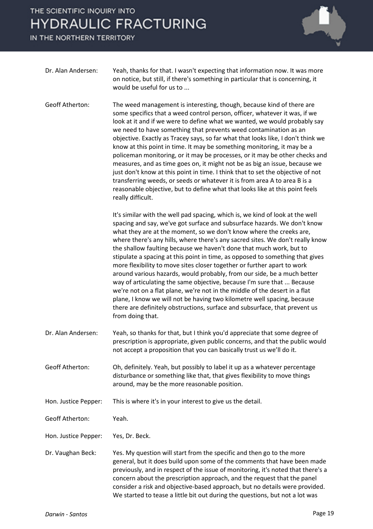IN THE NORTHERN TERRITORY



| Dr. Alan Andersen: | Yeah, thanks for that. I wasn't expecting that information now. It was more     |
|--------------------|---------------------------------------------------------------------------------|
|                    | on notice, but still, if there's something in particular that is concerning, it |
|                    | would be useful for us to                                                       |

Geoff Atherton: The weed management is interesting, though, because kind of there are some specifics that a weed control person, officer, whatever it was, if we look at it and if we were to define what we wanted, we would probably say we need to have something that prevents weed contamination as an objective. Exactly as Tracey says, so far what that looks like, I don't think we know at this point in time. It may be something monitoring, it may be a policeman monitoring, or it may be processes, or it may be other checks and measures, and as time goes on, it might not be as big an issue, because we just don't know at this point in time. I think that to set the objective of not transferring weeds, or seeds or whatever it is from area A to area B is a reasonable objective, but to define what that looks like at this point feels really difficult.

> It's similar with the well pad spacing, which is, we kind of look at the well spacing and say, we've got surface and subsurface hazards. We don't know what they are at the moment, so we don't know where the creeks are, where there's any hills, where there's any sacred sites. We don't really know the shallow faulting because we haven't done that much work, but to stipulate a spacing at this point in time, as opposed to something that gives more flexibility to move sites closer together or further apart to work around various hazards, would probably, from our side, be a much better way of articulating the same objective, because I'm sure that ... Because we're not on a flat plane, we're not in the middle of the desert in a flat plane, I know we will not be having two kilometre well spacing, because there are definitely obstructions, surface and subsurface, that prevent us from doing that.

- Dr. Alan Andersen: Yeah, so thanks for that, but I think you'd appreciate that some degree of prescription is appropriate, given public concerns, and that the public would not accept a proposition that you can basically trust us we'll do it.
- Geoff Atherton: Oh, definitely. Yeah, but possibly to label it up as a whatever percentage disturbance or something like that, that gives flexibility to move things around, may be the more reasonable position.
- Hon. Justice Pepper: This is where it's in your interest to give us the detail.

Geoff Atherton: Yeah.

Hon. Justice Pepper: Yes, Dr. Beck.

Dr. Vaughan Beck: Yes. My question will start from the specific and then go to the more general, but it does build upon some of the comments that have been made previously, and in respect of the issue of monitoring, it's noted that there's a concern about the prescription approach, and the request that the panel consider a risk and objective-based approach, but no details were provided. We started to tease a little bit out during the questions, but not a lot was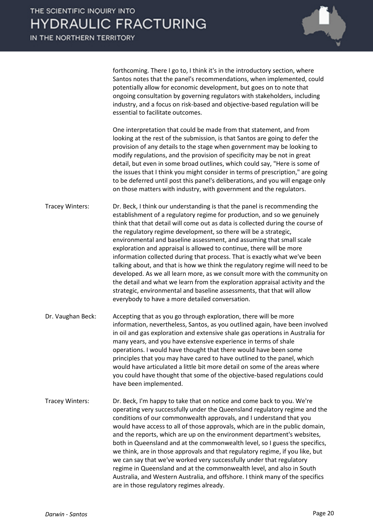

forthcoming. There I go to, I think it's in the introductory section, where Santos notes that the panel's recommendations, when implemented, could potentially allow for economic development, but goes on to note that ongoing consultation by governing regulators with stakeholders, including industry, and a focus on risk-based and objective-based regulation will be essential to facilitate outcomes.

One interpretation that could be made from that statement, and from looking at the rest of the submission, is that Santos are going to defer the provision of any details to the stage when government may be looking to modify regulations, and the provision of specificity may be not in great detail, but even in some broad outlines, which could say, "Here is some of the issues that I think you might consider in terms of prescription," are going to be deferred until post this panel's deliberations, and you will engage only on those matters with industry, with government and the regulators.

Tracey Winters: Dr. Beck, I think our understanding is that the panel is recommending the establishment of a regulatory regime for production, and so we genuinely think that that detail will come out as data is collected during the course of the regulatory regime development, so there will be a strategic, environmental and baseline assessment, and assuming that small scale exploration and appraisal is allowed to continue, there will be more information collected during that process. That is exactly what we've been talking about, and that is how we think the regulatory regime will need to be developed. As we all learn more, as we consult more with the community on the detail and what we learn from the exploration appraisal activity and the strategic, environmental and baseline assessments, that that will allow everybody to have a more detailed conversation.

- Dr. Vaughan Beck: Accepting that as you go through exploration, there will be more information, nevertheless, Santos, as you outlined again, have been involved in oil and gas exploration and extensive shale gas operations in Australia for many years, and you have extensive experience in terms of shale operations. I would have thought that there would have been some principles that you may have cared to have outlined to the panel, which would have articulated a little bit more detail on some of the areas where you could have thought that some of the objective-based regulations could have been implemented.
- Tracey Winters: Dr. Beck, I'm happy to take that on notice and come back to you. We're operating very successfully under the Queensland regulatory regime and the conditions of our commonwealth approvals, and I understand that you would have access to all of those approvals, which are in the public domain, and the reports, which are up on the environment department's websites, both in Queensland and at the commonwealth level, so I guess the specifics, we think, are in those approvals and that regulatory regime, if you like, but we can say that we've worked very successfully under that regulatory regime in Queensland and at the commonwealth level, and also in South Australia, and Western Australia, and offshore. I think many of the specifics are in those regulatory regimes already.